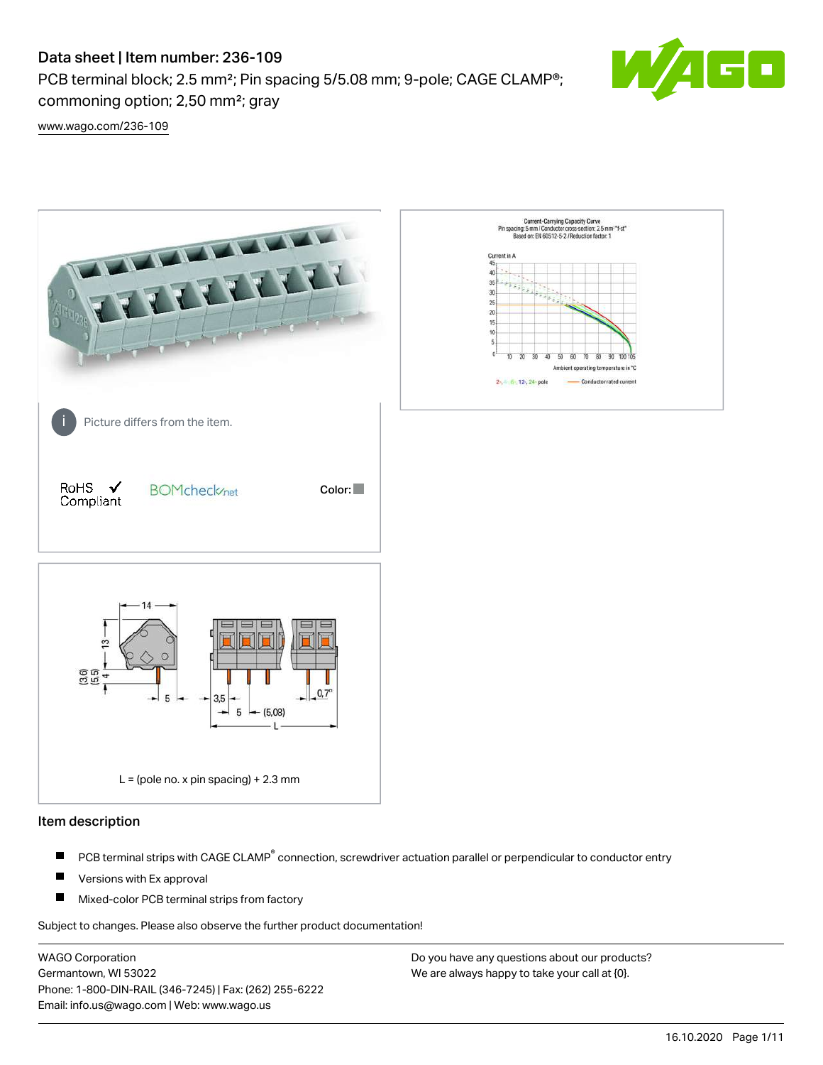# Data sheet | Item number: 236-109

PCB terminal block; 2.5 mm²; Pin spacing 5/5.08 mm; 9-pole; CAGE CLAMP®; commoning option; 2,50 mm²; gray



[www.wago.com/236-109](http://www.wago.com/236-109)



#### Item description

- PCB terminal strips with CAGE CLAMP<sup>®</sup> connection, screwdriver actuation parallel or perpendicular to conductor entry П
- П Versions with Ex approval
- П Mixed-color PCB terminal strips from factory

Subject to changes. Please also observe the further product documentation!

WAGO Corporation Germantown, WI 53022 Phone: 1-800-DIN-RAIL (346-7245) | Fax: (262) 255-6222 Email: info.us@wago.com | Web: www.wago.us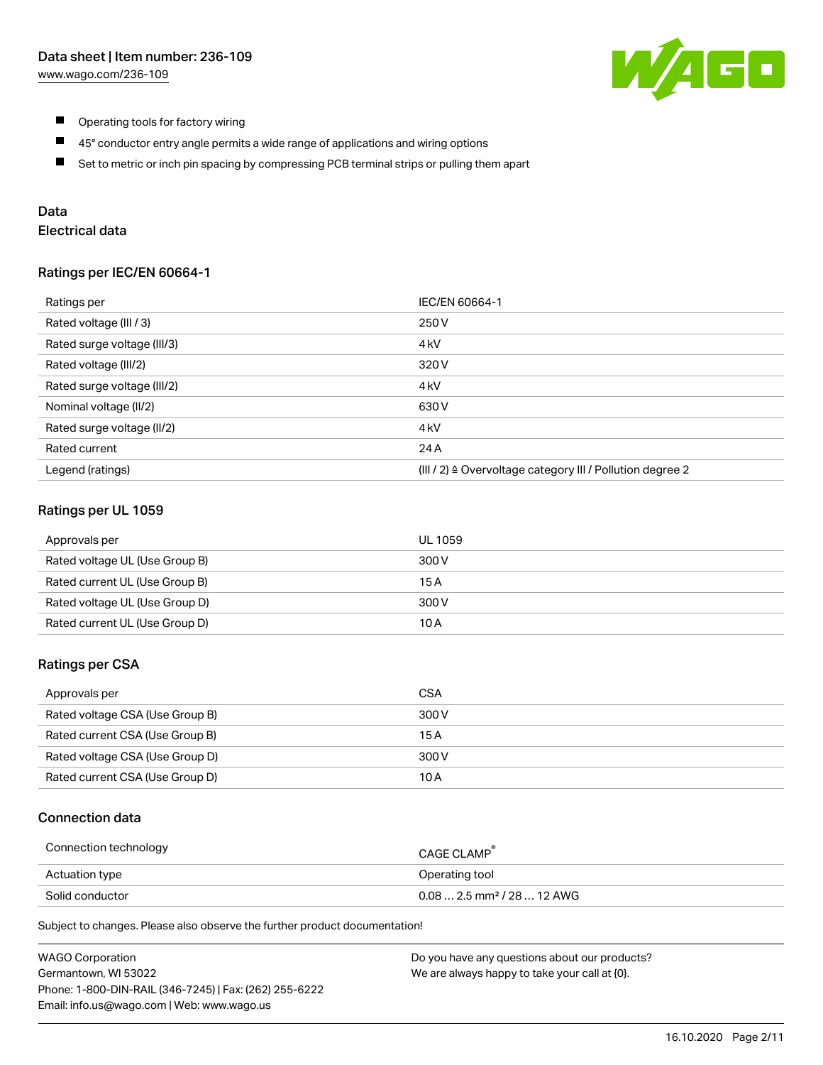

- $\blacksquare$ Operating tools for factory wiring
- $\blacksquare$ 45° conductor entry angle permits a wide range of applications and wiring options
- $\blacksquare$ Set to metric or inch pin spacing by compressing PCB terminal strips or pulling them apart

## Data

# Electrical data

#### Ratings per IEC/EN 60664-1

| Ratings per                 | IEC/EN 60664-1                                                        |
|-----------------------------|-----------------------------------------------------------------------|
| Rated voltage (III / 3)     | 250 V                                                                 |
| Rated surge voltage (III/3) | 4 <sub>k</sub> V                                                      |
| Rated voltage (III/2)       | 320 V                                                                 |
| Rated surge voltage (III/2) | 4 <sub>k</sub> V                                                      |
| Nominal voltage (II/2)      | 630 V                                                                 |
| Rated surge voltage (II/2)  | 4 <sub>k</sub> V                                                      |
| Rated current               | 24 A                                                                  |
| Legend (ratings)            | $(III / 2)$ $\triangle$ Overvoltage category III / Pollution degree 2 |

#### Ratings per UL 1059

| Approvals per                  | UL 1059 |
|--------------------------------|---------|
| Rated voltage UL (Use Group B) | 300 V   |
| Rated current UL (Use Group B) | 15 A    |
| Rated voltage UL (Use Group D) | 300 V   |
| Rated current UL (Use Group D) | 10 A    |

#### Ratings per CSA

| Approvals per                   | CSA   |
|---------------------------------|-------|
| Rated voltage CSA (Use Group B) | 300 V |
| Rated current CSA (Use Group B) | 15 A  |
| Rated voltage CSA (Use Group D) | 300 V |
| Rated current CSA (Use Group D) | 10 A  |

## Connection data

| Connection technology | CAGE CLAMP                              |
|-----------------------|-----------------------------------------|
| Actuation type        | Operating tool                          |
| Solid conductor       | $0.08$ 2.5 mm <sup>2</sup> / 28  12 AWG |

Subject to changes. Please also observe the further product documentation!

| <b>WAGO Corporation</b>                                | Do you have any questions about our products? |
|--------------------------------------------------------|-----------------------------------------------|
| Germantown, WI 53022                                   | We are always happy to take your call at {0}. |
| Phone: 1-800-DIN-RAIL (346-7245)   Fax: (262) 255-6222 |                                               |
| Email: info.us@wago.com   Web: www.wago.us             |                                               |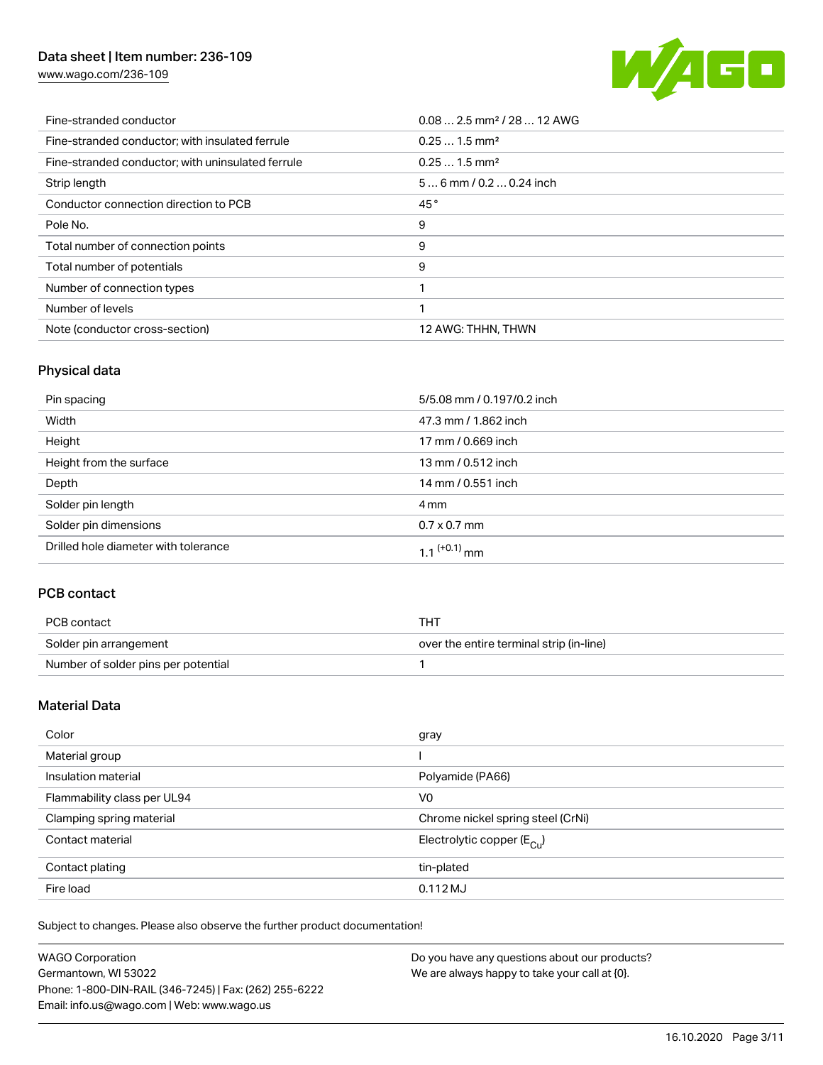# Data sheet | Item number: 236-109

[www.wago.com/236-109](http://www.wago.com/236-109)



| Fine-stranded conductor                           | $0.08$ 2.5 mm <sup>2</sup> / 28  12 AWG |
|---------------------------------------------------|-----------------------------------------|
| Fine-stranded conductor; with insulated ferrule   | $0.251.5$ mm <sup>2</sup>               |
| Fine-stranded conductor; with uninsulated ferrule | $0.251.5$ mm <sup>2</sup>               |
| Strip length                                      | $56$ mm / 0.2  0.24 inch                |
| Conductor connection direction to PCB             | 45°                                     |
| Pole No.                                          | 9                                       |
| Total number of connection points                 | 9                                       |
| Total number of potentials                        | 9                                       |
| Number of connection types                        |                                         |
| Number of levels                                  |                                         |
| Note (conductor cross-section)                    | 12 AWG: THHN, THWN                      |

## Physical data

| Pin spacing                          | 5/5.08 mm / 0.197/0.2 inch |
|--------------------------------------|----------------------------|
| Width                                | 47.3 mm / 1.862 inch       |
| Height                               | 17 mm / 0.669 inch         |
| Height from the surface              | 13 mm / 0.512 inch         |
| Depth                                | 14 mm / 0.551 inch         |
| Solder pin length                    | 4 mm                       |
| Solder pin dimensions                | $0.7 \times 0.7$ mm        |
| Drilled hole diameter with tolerance | $1.1$ <sup>(+0.1)</sup> mm |

## PCB contact

| PCB contact                         | THT                                      |
|-------------------------------------|------------------------------------------|
| Solder pin arrangement              | over the entire terminal strip (in-line) |
| Number of solder pins per potential |                                          |

## Material Data

| Color                       | gray                                  |
|-----------------------------|---------------------------------------|
| Material group              |                                       |
| Insulation material         | Polyamide (PA66)                      |
| Flammability class per UL94 | V <sub>0</sub>                        |
| Clamping spring material    | Chrome nickel spring steel (CrNi)     |
| Contact material            | Electrolytic copper $(E_{\text{Cl}})$ |
| Contact plating             | tin-plated                            |
| Fire load                   | 0.112 MJ                              |

Subject to changes. Please also observe the further product documentation!

| <b>WAGO Corporation</b>                                | Do you have any questions about our products? |
|--------------------------------------------------------|-----------------------------------------------|
| Germantown, WI 53022                                   | We are always happy to take your call at {0}. |
| Phone: 1-800-DIN-RAIL (346-7245)   Fax: (262) 255-6222 |                                               |
| Email: info.us@wago.com   Web: www.wago.us             |                                               |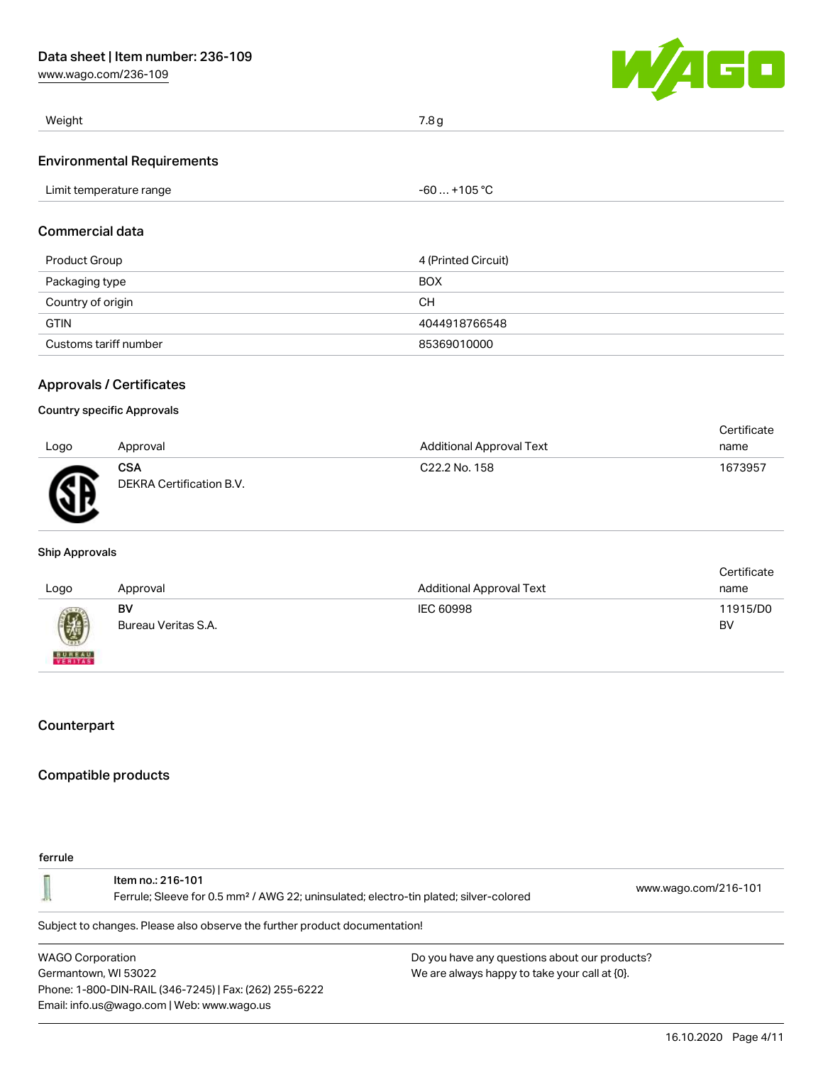[www.wago.com/236-109](http://www.wago.com/236-109)



| Weight                            | 7.8g         |
|-----------------------------------|--------------|
| <b>Environmental Requirements</b> |              |
| Limit temperature range           | -60  +105 °C |
|                                   |              |

# Commercial data

| Product Group         | 4 (Printed Circuit) |
|-----------------------|---------------------|
| Packaging type        | <b>BOX</b>          |
| Country of origin     | CН                  |
| <b>GTIN</b>           | 4044918766548       |
| Customs tariff number | 85369010000         |

#### Approvals / Certificates

#### Country specific Approvals

|      |                                        |                           | Certificate |
|------|----------------------------------------|---------------------------|-------------|
| Logo | Approval                               | Additional Approval Text  | name        |
| Ж    | <b>CSA</b><br>DEKRA Certification B.V. | C <sub>22.2</sub> No. 158 | 1673957     |

#### Ship Approvals

|                           |                     |                                 | Certificate |
|---------------------------|---------------------|---------------------------------|-------------|
| Logo                      | Approval            | <b>Additional Approval Text</b> | name        |
|                           | BV                  | IEC 60998                       | 11915/D0    |
| Ø                         | Bureau Veritas S.A. |                                 | BV          |
| <b>BUREAU</b><br>VERITASS |                     |                                 |             |

## **Counterpart**

## Compatible products

#### ferrule

|                                                                            | Item no.: 216-101<br>Ferrule; Sleeve for 0.5 mm <sup>2</sup> / AWG 22; uninsulated; electro-tin plated; silver-colored | www.wago.com/216-101 |  |  |
|----------------------------------------------------------------------------|------------------------------------------------------------------------------------------------------------------------|----------------------|--|--|
| Subject to changes. Please also observe the further product documentation! |                                                                                                                        |                      |  |  |
| $\cdots$ $\cdots$                                                          |                                                                                                                        |                      |  |  |

WAGO Corporation Germantown, WI 53022 Phone: 1-800-DIN-RAIL (346-7245) | Fax: (262) 255-6222 Email: info.us@wago.com | Web: www.wago.us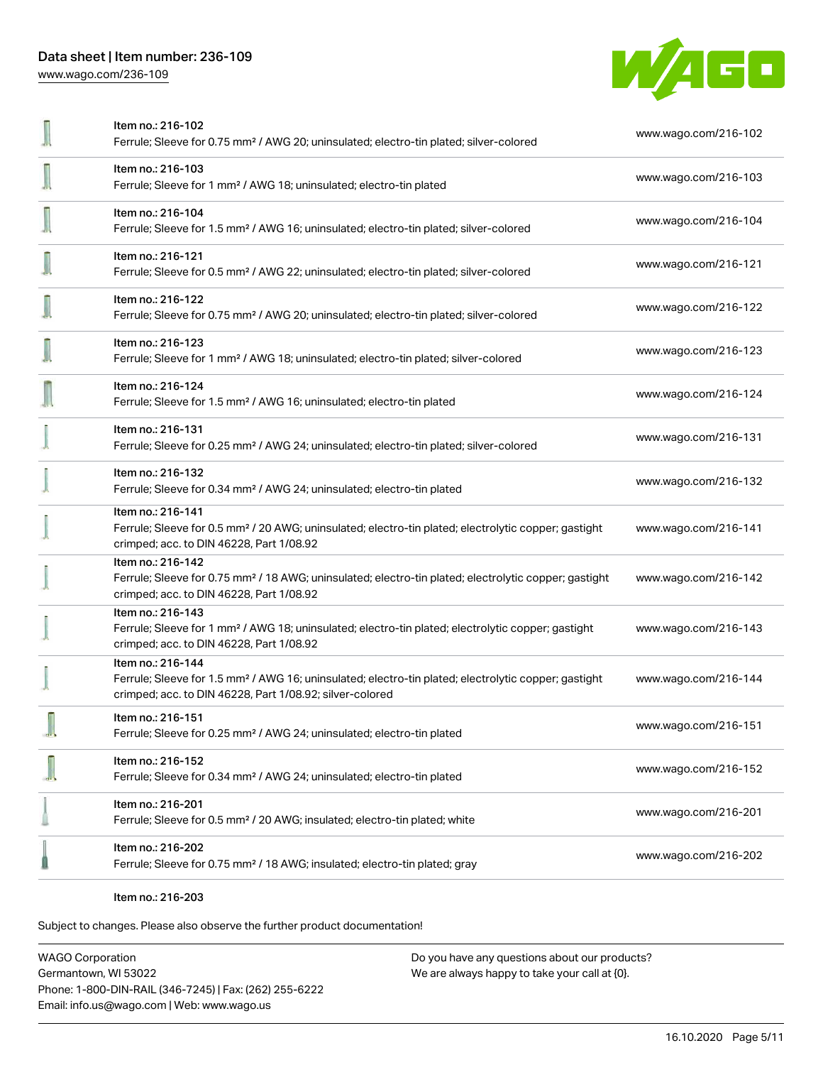WAGO

| Item no.: 216-102<br>Ferrule; Sleeve for 0.75 mm <sup>2</sup> / AWG 20; uninsulated; electro-tin plated; silver-colored                                                                           | www.wago.com/216-102 |
|---------------------------------------------------------------------------------------------------------------------------------------------------------------------------------------------------|----------------------|
| Item no.: 216-103<br>Ferrule; Sleeve for 1 mm <sup>2</sup> / AWG 18; uninsulated; electro-tin plated                                                                                              | www.wago.com/216-103 |
| Item no.: 216-104<br>Ferrule; Sleeve for 1.5 mm <sup>2</sup> / AWG 16; uninsulated; electro-tin plated; silver-colored                                                                            | www.wago.com/216-104 |
| Item no.: 216-121<br>Ferrule; Sleeve for 0.5 mm <sup>2</sup> / AWG 22; uninsulated; electro-tin plated; silver-colored                                                                            | www.wago.com/216-121 |
| Item no.: 216-122<br>Ferrule; Sleeve for 0.75 mm <sup>2</sup> / AWG 20; uninsulated; electro-tin plated; silver-colored                                                                           | www.wago.com/216-122 |
| Item no.: 216-123<br>Ferrule; Sleeve for 1 mm <sup>2</sup> / AWG 18; uninsulated; electro-tin plated; silver-colored                                                                              | www.wago.com/216-123 |
| Item no.: 216-124<br>Ferrule; Sleeve for 1.5 mm <sup>2</sup> / AWG 16; uninsulated; electro-tin plated                                                                                            | www.wago.com/216-124 |
| Item no.: 216-131<br>Ferrule; Sleeve for 0.25 mm <sup>2</sup> / AWG 24; uninsulated; electro-tin plated; silver-colored                                                                           | www.wago.com/216-131 |
| Item no.: 216-132<br>Ferrule; Sleeve for 0.34 mm <sup>2</sup> / AWG 24; uninsulated; electro-tin plated                                                                                           | www.wago.com/216-132 |
| Item no.: 216-141<br>Ferrule; Sleeve for 0.5 mm <sup>2</sup> / 20 AWG; uninsulated; electro-tin plated; electrolytic copper; gastight<br>crimped; acc. to DIN 46228, Part 1/08.92                 | www.wago.com/216-141 |
| Item no.: 216-142<br>Ferrule; Sleeve for 0.75 mm <sup>2</sup> / 18 AWG; uninsulated; electro-tin plated; electrolytic copper; gastight<br>crimped; acc. to DIN 46228, Part 1/08.92                | www.wago.com/216-142 |
| Item no.: 216-143<br>Ferrule; Sleeve for 1 mm <sup>2</sup> / AWG 18; uninsulated; electro-tin plated; electrolytic copper; gastight<br>crimped; acc. to DIN 46228, Part 1/08.92                   | www.wago.com/216-143 |
| Item no.: 216-144<br>Ferrule; Sleeve for 1.5 mm <sup>2</sup> / AWG 16; uninsulated; electro-tin plated; electrolytic copper; gastight<br>crimped; acc. to DIN 46228, Part 1/08.92; silver-colored | www.wago.com/216-144 |
| Item no.: 216-151<br>Ferrule; Sleeve for 0.25 mm <sup>2</sup> / AWG 24; uninsulated; electro-tin plated                                                                                           | www.wago.com/216-151 |
| Item no.: 216-152<br>Ferrule; Sleeve for 0.34 mm <sup>2</sup> / AWG 24; uninsulated; electro-tin plated                                                                                           | www.wago.com/216-152 |
| Item no.: 216-201<br>Ferrule; Sleeve for 0.5 mm <sup>2</sup> / 20 AWG; insulated; electro-tin plated; white                                                                                       | www.wago.com/216-201 |
| Item no.: 216-202<br>Ferrule; Sleeve for 0.75 mm <sup>2</sup> / 18 AWG; insulated; electro-tin plated; gray                                                                                       | www.wago.com/216-202 |
|                                                                                                                                                                                                   |                      |

Item no.: 216-203

Subject to changes. Please also observe the further product documentation!

WAGO Corporation Germantown, WI 53022 Phone: 1-800-DIN-RAIL (346-7245) | Fax: (262) 255-6222 Email: info.us@wago.com | Web: www.wago.us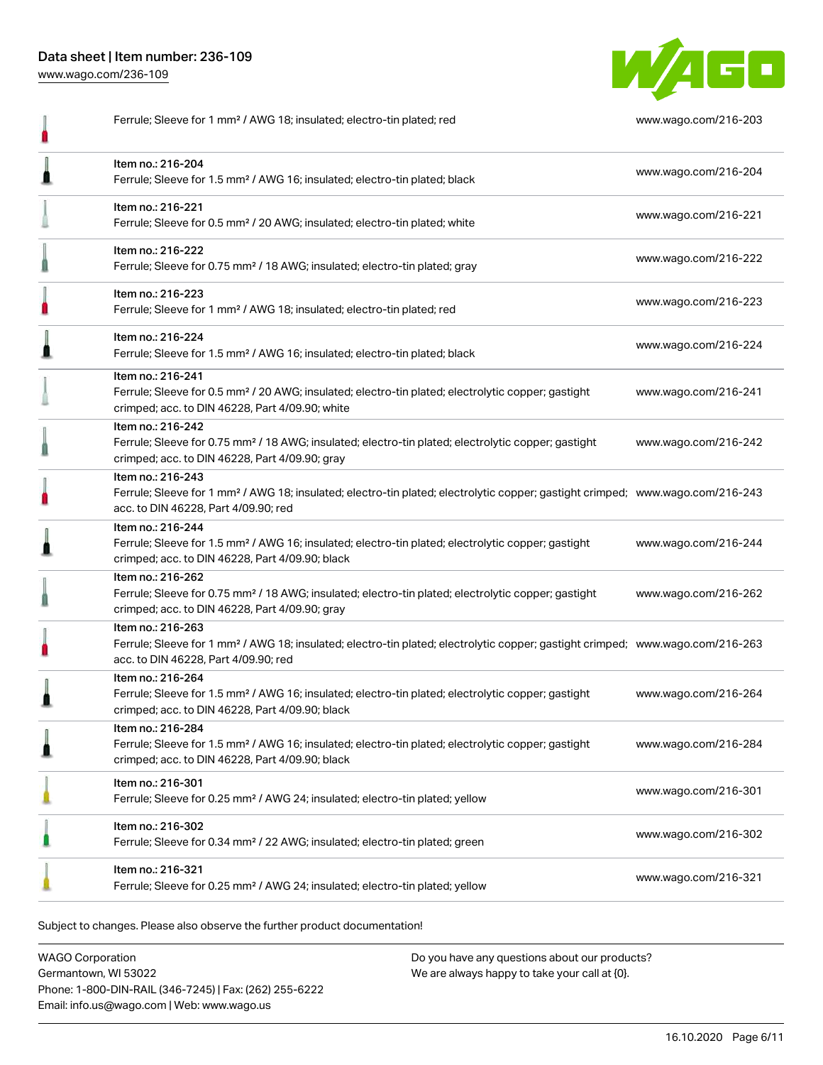Data sheet | Item number: 236-109 [www.wago.com/236-109](http://www.wago.com/236-109)



Ferrule; Sleeve for 1 mm² / AWG 18; insulated; electro-tin plated; red [www.wago.com/216-203](http://www.wago.com/216-203) Item no.: 216-204 Ferrule; Sleeve for 1.5 mm² / AWG 16; insulated; electro-tin plated; black [www.wago.com/216-204](http://www.wago.com/216-204) Item no.: 216-221 Ferrule; Sleeve for 0.5 mm² / 20 AWG; insulated; electro-tin plated; white [www.wago.com/216-221](http://www.wago.com/216-221) Item no.: 216-222 Ferrule; Sleeve for 0.75 mm² / 18 AWG; insulated; electro-tin plated; gray [www.wago.com/216-222](http://www.wago.com/216-222) 0 Item no.: 216-223 Ferrule; Sleeve for 1 mm² / AWG 18; insulated; electro-tin plated; red [www.wago.com/216-223](http://www.wago.com/216-223) Item no.: 216-224 Ferrule; Sleeve for 1.5 mm² / AWG 16; insulated; electro-tin plated; black [www.wago.com/216-224](http://www.wago.com/216-224) Item no.: 216-241 Ferrule; Sleeve for 0.5 mm² / 20 AWG; insulated; electro-tin plated; electrolytic copper; gastight [www.wago.com/216-241](http://www.wago.com/216-241) crimped; acc. to DIN 46228, Part 4/09.90; white Item no.: 216-242 Ferrule; Sleeve for 0.75 mm² / 18 AWG; insulated; electro-tin plated; electrolytic copper; gastight [www.wago.com/216-242](http://www.wago.com/216-242) Ω crimped; acc. to DIN 46228, Part 4/09.90; gray Item no.: 216-243 Ferrule; Sleeve for 1 mm² / AWG 18; insulated; electro-tin plated; electrolytic copper; gastight crimped; [www.wago.com/216-243](http://www.wago.com/216-243) Ω acc. to DIN 46228, Part 4/09.90; red Item no.: 216-244 Ferrule; Sleeve for 1.5 mm² / AWG 16; insulated; electro-tin plated; electrolytic copper; gastight [www.wago.com/216-244](http://www.wago.com/216-244) crimped; acc. to DIN 46228, Part 4/09.90; black Item no.: 216-262 Ferrule; Sleeve for 0.75 mm² / 18 AWG; insulated; electro-tin plated; electrolytic copper; gastight [www.wago.com/216-262](http://www.wago.com/216-262) 0 crimped; acc. to DIN 46228, Part 4/09.90; gray Item no.: 216-263 Ferrule; Sleeve for 1 mm² / AWG 18; insulated; electro-tin plated; electrolytic copper; gastight crimped; [www.wago.com/216-263](http://www.wago.com/216-263) Ω acc. to DIN 46228, Part 4/09.90; red Item no.: 216-264 Ferrule; Sleeve for 1.5 mm² / AWG 16; insulated; electro-tin plated; electrolytic copper; gastight [www.wago.com/216-264](http://www.wago.com/216-264) ≞ crimped; acc. to DIN 46228, Part 4/09.90; black Item no.: 216-284 Ferrule; Sleeve for 1.5 mm² / AWG 16; insulated; electro-tin plated; electrolytic copper; gastight [www.wago.com/216-284](http://www.wago.com/216-284) crimped; acc. to DIN 46228, Part 4/09.90; black Item no.: 216-301 Ferrule; Sleeve for 0.25 mm² / AWG 24; insulated; electro-tin plated; yellow [www.wago.com/216-301](http://www.wago.com/216-301) Item no.: 216-302 Ferrule; Sleeve for 0.34 mm² / 22 AWG; insulated; electro-tin plated; green [www.wago.com/216-302](http://www.wago.com/216-302) Item no.: 216-321 Ferrule; Sleeve for 0.25 mm² / AWG 24; insulated; electro-tin plated; yellow [www.wago.com/216-321](http://www.wago.com/216-321)

Subject to changes. Please also observe the further product documentation!

WAGO Corporation Germantown, WI 53022 Phone: 1-800-DIN-RAIL (346-7245) | Fax: (262) 255-6222 Email: info.us@wago.com | Web: www.wago.us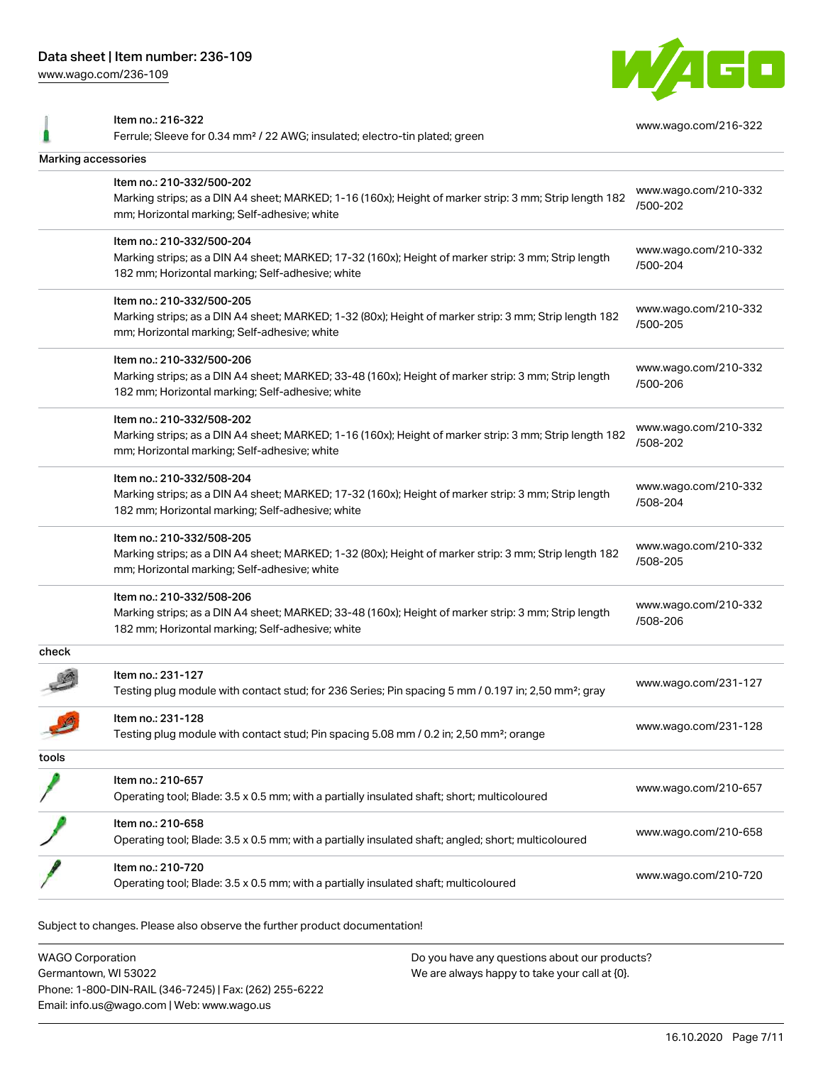[www.wago.com/236-109](http://www.wago.com/236-109)



Item no.: 216-322 Ferrule; Sleeve for 0.34 mm² / 22 AWG; insulated; electro-tin plated; green [www.wago.com/216-322](http://www.wago.com/216-322) Marking accessories Item no.: 210-332/500-202 Marking strips; as a DIN A4 sheet; MARKED; 1-16 (160x); Height of marker strip: 3 mm; Strip length 182 mm; Horizontal marking; Self-adhesive; white [www.wago.com/210-332](http://www.wago.com/210-332/500-202) [/500-202](http://www.wago.com/210-332/500-202) Item no.: 210-332/500-204 Marking strips; as a DIN A4 sheet; MARKED; 17-32 (160x); Height of marker strip: 3 mm; Strip length 182 mm; Horizontal marking; Self-adhesive; white [www.wago.com/210-332](http://www.wago.com/210-332/500-204) [/500-204](http://www.wago.com/210-332/500-204) Item no.: 210-332/500-205 Marking strips; as a DIN A4 sheet; MARKED; 1-32 (80x); Height of marker strip: 3 mm; Strip length 182 mm; Horizontal marking; Self-adhesive; white [www.wago.com/210-332](http://www.wago.com/210-332/500-205) [/500-205](http://www.wago.com/210-332/500-205) Item no.: 210-332/500-206 Marking strips; as a DIN A4 sheet; MARKED; 33-48 (160x); Height of marker strip: 3 mm; Strip length 182 mm; Horizontal marking; Self-adhesive; white [www.wago.com/210-332](http://www.wago.com/210-332/500-206) [/500-206](http://www.wago.com/210-332/500-206) Item no.: 210-332/508-202 Marking strips; as a DIN A4 sheet; MARKED; 1-16 (160x); Height of marker strip: 3 mm; Strip length 182 mm; Horizontal marking; Self-adhesive; white [www.wago.com/210-332](http://www.wago.com/210-332/508-202) [/508-202](http://www.wago.com/210-332/508-202) Item no.: 210-332/508-204 Marking strips; as a DIN A4 sheet; MARKED; 17-32 (160x); Height of marker strip: 3 mm; Strip length 182 mm; Horizontal marking; Self-adhesive; white [www.wago.com/210-332](http://www.wago.com/210-332/508-204) [/508-204](http://www.wago.com/210-332/508-204) Item no.: 210-332/508-205 Marking strips; as a DIN A4 sheet; MARKED; 1-32 (80x); Height of marker strip: 3 mm; Strip length 182 mm; Horizontal marking; Self-adhesive; white [www.wago.com/210-332](http://www.wago.com/210-332/508-205) [/508-205](http://www.wago.com/210-332/508-205) Item no.: 210-332/508-206 Marking strips; as a DIN A4 sheet; MARKED; 33-48 (160x); Height of marker strip: 3 mm; Strip length 182 mm; Horizontal marking; Self-adhesive; white [www.wago.com/210-332](http://www.wago.com/210-332/508-206) [/508-206](http://www.wago.com/210-332/508-206) check Item no.: 231-127 Testing plug module with contact stud; for 236 Series; Pin spacing 5 mm / 0.197 in; 2,50 mm²; gray [www.wago.com/231-127](http://www.wago.com/231-127) Item no.: 231-128 Testing plug module with contact stud; Pin spacing 5.08 mm / 0.2 in; 2,50 mm²; orange [www.wago.com/231-128](http://www.wago.com/231-128) tools Item no.: 210-657 Operating tool; Blade: 3.5 x 0.5 mm; with a partially insulated shaft; short; multicoloured [www.wago.com/210-657](http://www.wago.com/210-657) Item no.: 210-658 Operating tool; Blade: 3.5 x 0.5 mm; with a partially insulated shaft; angled; short; multicoloured [www.wago.com/210-658](http://www.wago.com/210-658) Item no.: 210-720 Operating tool; Blade: 3.5 x 0.5 mm; with a partially insulated shaft; multicoloured [www.wago.com/210-720](http://www.wago.com/210-720)

Subject to changes. Please also observe the further product documentation!

WAGO Corporation Germantown, WI 53022 Phone: 1-800-DIN-RAIL (346-7245) | Fax: (262) 255-6222 Email: info.us@wago.com | Web: www.wago.us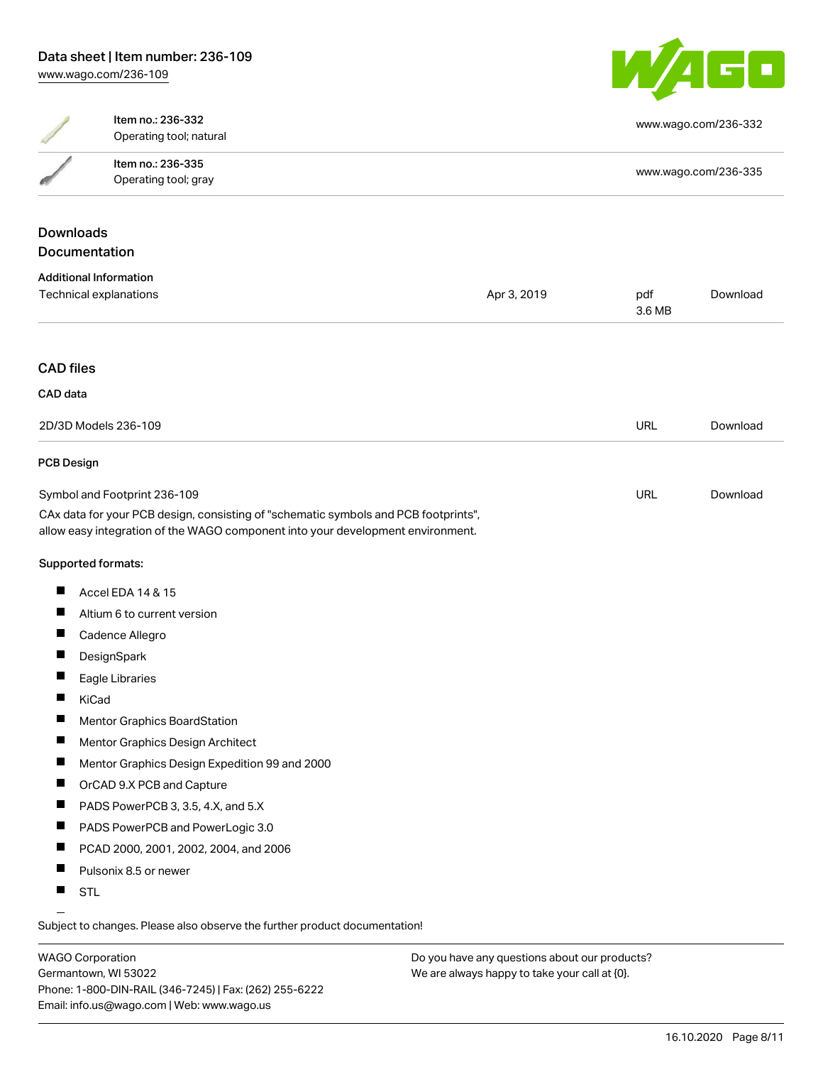

|                               | Item no.: 236-332<br>Operating tool; natural                                                                                                                           |             |               | www.wago.com/236-332 |  |
|-------------------------------|------------------------------------------------------------------------------------------------------------------------------------------------------------------------|-------------|---------------|----------------------|--|
|                               | Item no.: 236-335                                                                                                                                                      |             |               |                      |  |
|                               | Operating tool; gray                                                                                                                                                   |             |               | www.wago.com/236-335 |  |
|                               |                                                                                                                                                                        |             |               |                      |  |
| <b>Downloads</b>              |                                                                                                                                                                        |             |               |                      |  |
| <b>Documentation</b>          |                                                                                                                                                                        |             |               |                      |  |
| <b>Additional Information</b> |                                                                                                                                                                        |             |               |                      |  |
| Technical explanations        |                                                                                                                                                                        | Apr 3, 2019 | pdf<br>3.6 MB | Download             |  |
| <b>CAD files</b>              |                                                                                                                                                                        |             |               |                      |  |
|                               |                                                                                                                                                                        |             |               |                      |  |
| CAD data                      |                                                                                                                                                                        |             |               |                      |  |
|                               | 2D/3D Models 236-109                                                                                                                                                   |             | <b>URL</b>    | Download             |  |
| <b>PCB Design</b>             |                                                                                                                                                                        |             |               |                      |  |
| Symbol and Footprint 236-109  |                                                                                                                                                                        | URL         | Download      |                      |  |
|                               | CAx data for your PCB design, consisting of "schematic symbols and PCB footprints",<br>allow easy integration of the WAGO component into your development environment. |             |               |                      |  |
| Supported formats:            |                                                                                                                                                                        |             |               |                      |  |
|                               | Accel EDA 14 & 15                                                                                                                                                      |             |               |                      |  |
| п                             | Altium 6 to current version                                                                                                                                            |             |               |                      |  |
|                               | Cadence Allegro                                                                                                                                                        |             |               |                      |  |
|                               | DesignSpark                                                                                                                                                            |             |               |                      |  |
|                               | Eagle Libraries                                                                                                                                                        |             |               |                      |  |
| KiCad                         |                                                                                                                                                                        |             |               |                      |  |
| п                             | Mentor Graphics BoardStation                                                                                                                                           |             |               |                      |  |
| <b>The Second Service</b>     | Mentor Graphics Design Architect                                                                                                                                       |             |               |                      |  |
| <b>I</b>                      | Mentor Graphics Design Expedition 99 and 2000                                                                                                                          |             |               |                      |  |
| ш                             | OrCAD 9.X PCB and Capture                                                                                                                                              |             |               |                      |  |
| ш                             | PADS PowerPCB 3, 3.5, 4.X, and 5.X                                                                                                                                     |             |               |                      |  |
| п                             | PADS PowerPCB and PowerLogic 3.0                                                                                                                                       |             |               |                      |  |
| ш                             | PCAD 2000, 2001, 2002, 2004, and 2006                                                                                                                                  |             |               |                      |  |
|                               | Pulsonix 8.5 or newer                                                                                                                                                  |             |               |                      |  |
| ш<br><b>STL</b>               |                                                                                                                                                                        |             |               |                      |  |

Subject to changes. Please also observe the further product documentation!

WAGO Corporation Germantown, WI 53022 Phone: 1-800-DIN-RAIL (346-7245) | Fax: (262) 255-6222 Email: info.us@wago.com | Web: www.wago.us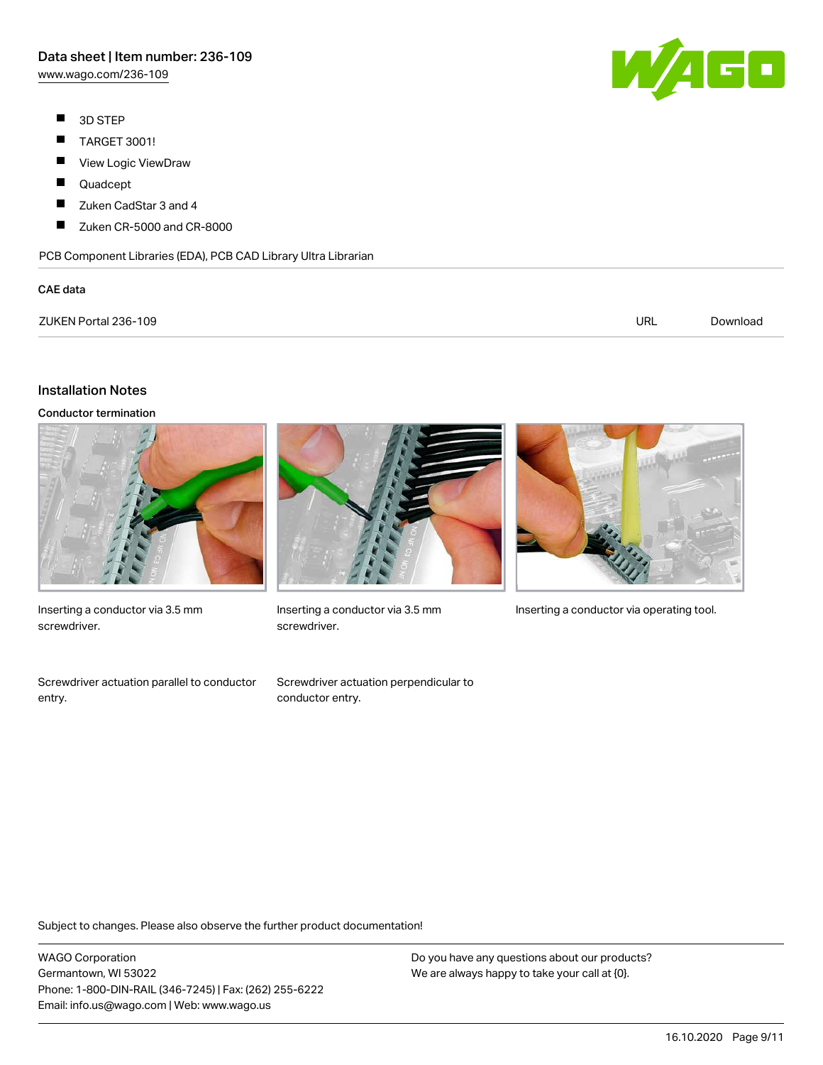# Data sheet | Item number: 236-109

[www.wago.com/236-109](http://www.wago.com/236-109)

- $\blacksquare$ 3D STEP
- $\blacksquare$ TARGET 3001!
- $\blacksquare$ View Logic ViewDraw
- $\blacksquare$ Quadcept
- П Zuken CadStar 3 and 4
- $\blacksquare$ Zuken CR-5000 and CR-8000

PCB Component Libraries (EDA), PCB CAD Library Ultra Librarian

#### CAE data



| ZUKEN Portal 236-109 | url | Downloac |
|----------------------|-----|----------|
|----------------------|-----|----------|

#### Installation Notes

Conductor termination



Inserting a conductor via 3.5 mm screwdriver.

Screwdriver actuation parallel to conductor entry.



screwdriver.

Screwdriver actuation perpendicular to

conductor entry.



Inserting a conductor via 3.5 mm Inserting a conductor via operating tool.

Subject to changes. Please also observe the further product documentation!

WAGO Corporation Germantown, WI 53022 Phone: 1-800-DIN-RAIL (346-7245) | Fax: (262) 255-6222 Email: info.us@wago.com | Web: www.wago.us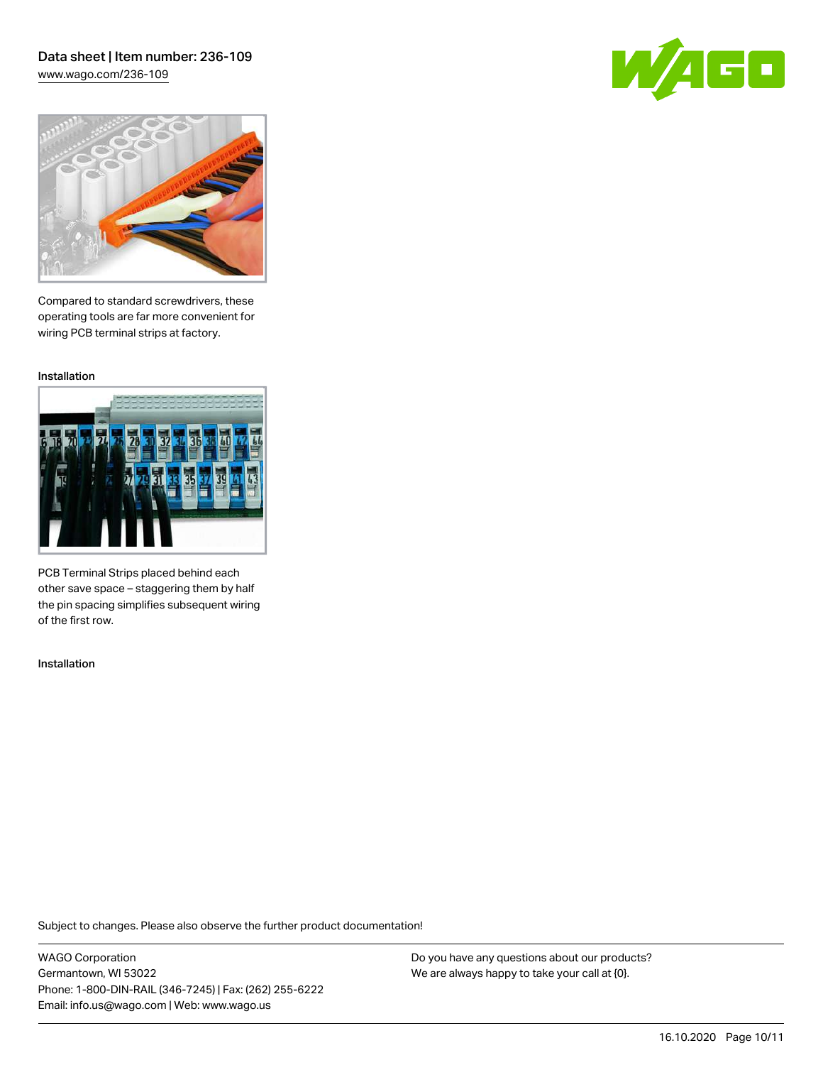## Data sheet | Item number: 236-109 [www.wago.com/236-109](http://www.wago.com/236-109)





Compared to standard screwdrivers, these operating tools are far more convenient for wiring PCB terminal strips at factory.

Installation



PCB Terminal Strips placed behind each other save space – staggering them by half the pin spacing simplifies subsequent wiring of the first row.

Installation

Subject to changes. Please also observe the further product documentation!

WAGO Corporation Germantown, WI 53022 Phone: 1-800-DIN-RAIL (346-7245) | Fax: (262) 255-6222 Email: info.us@wago.com | Web: www.wago.us